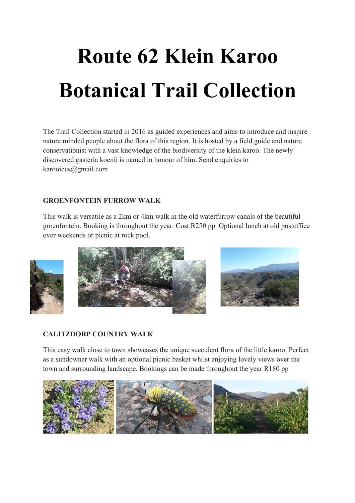# **Route 62 Klein Karoo Botanical Trail Collection**

The Trail Collection started in 2016 as guided experiences and aims to introduce and inspire nature minded people about the flora of this region. It is hosted by a field guide and nature conservationist with a vast knowledge of the biodiversity of the klein karoo. The newly discovered gasteria koenii is named in honour of him. Send enquiries to karooicus@gmail.com

## **GROENFONTEIN FURROW WALK**

This walk is versatile as a 2km or 4km walk in the old waterfurrow canals of the beautiful groenfontein. Booking is throughout the year. Cost R250 pp. Optional lunch at old postoffice over weekends or picnic at rock pool.







## **CALITZDORP COUNTRY WALK**

This easy walk close to town showcases the unique succulent flora of the little karoo. Perfect as a sundowner walk with an optional picnic basket whilst enjoying lovely views over the town and surrounding landscape. Bookings can be made throughout the year R180 pp

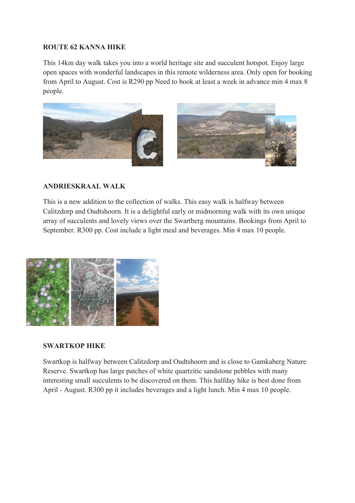#### **ROUTE 62 KANNA HIKE**

This 14km day walk takes you into a world heritage site and succulent hotspot. Enjoy large open spaces with wonderful landscapes in this remote wilderness area. Only open for booking from April to August. Cost is R290 pp Need to book at least a week in advance min 4 max 8 people.



### **ANDRIESKRAAL WALK**

This is a new addition to the collection of walks. This easy walk is halfway between Calitzdorp and Oudtshoorn. It is a delightful early or midmorning walk with its own unique array of succulents and lovely views over the Swartberg mountains. Bookings from April to September. R300 pp. Cost include a light meal and beverages. Min 4 max 10 people.



#### **SWARTKOP HIKE**

Swartkop is halfway between Calitzdorp and Oudtshoorn and is close to Gamkaberg Nature Reserve. Swartkop has large patches of white quartzitic sandstone pebbles with many interesting small succulents to be discovered on them. This halfday hike is best done from April - August. R300 pp it includes beverages and a light lunch. Min 4 max 10 people.